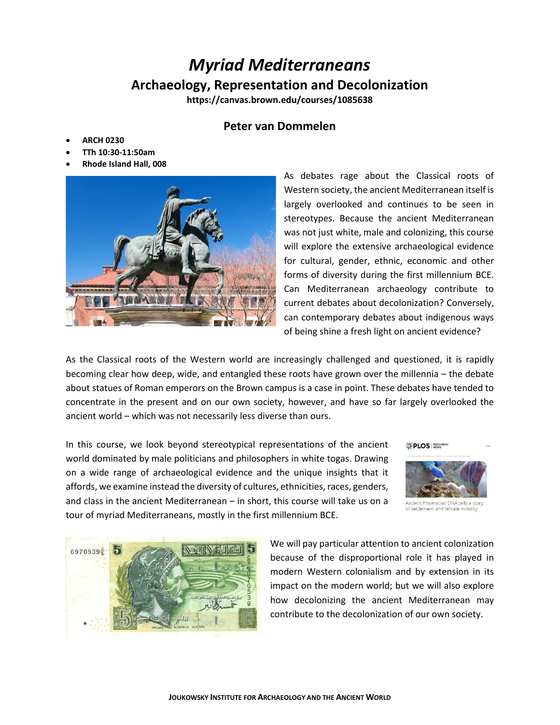# *Myriad Mediterraneans* **Archaeology, Representation and Decolonization**

**https://canvas.brown.edu/courses/1085638**

## **Peter van Dommelen**

- **ARCH 0230**
- **TTh 10:30-11:50am**
- **Rhode Island Hall, 008**



As debates rage about the Classical roots of Western society, the ancient Mediterranean itself is largely overlooked and continues to be seen in stereotypes. Because the ancient Mediterranean was not just white, male and colonizing, this course will explore the extensive archaeological evidence for cultural, gender, ethnic, economic and other forms of diversity during the first millennium BCE. Can Mediterranean archaeology contribute to current debates about decolonization? Conversely, can contemporary debates about indigenous ways of being shine a fresh light on ancient evidence?

As the Classical roots of the Western world are increasingly challenged and questioned, it is rapidly becoming clear how deep, wide, and entangled these roots have grown over the millennia – the debate about statues of Roman emperors on the Brown campus is a case in point. These debates have tended to concentrate in the present and on our own society, however, and have so far largely overlooked the ancient world – which was not necessarily less diverse than ours.

In this course, we look beyond stereotypical representations of the ancient world dominated by male politicians and philosophers in white togas. Drawing on a wide range of archaeological evidence and the unique insights that it affords, we examine instead the diversity of cultures, ethnicities, races, genders, and class in the ancient Mediterranean – in short, this course will take us on a tour of myriad Mediterraneans, mostly in the first millennium BCE.



Ancient Phoenician DNA tells a story of settlement and female mobility



We will pay particular attention to ancient colonization because of the disproportional role it has played in modern Western colonialism and by extension in its impact on the modern world; but we will also explore how decolonizing the ancient Mediterranean may contribute to the decolonization of our own society.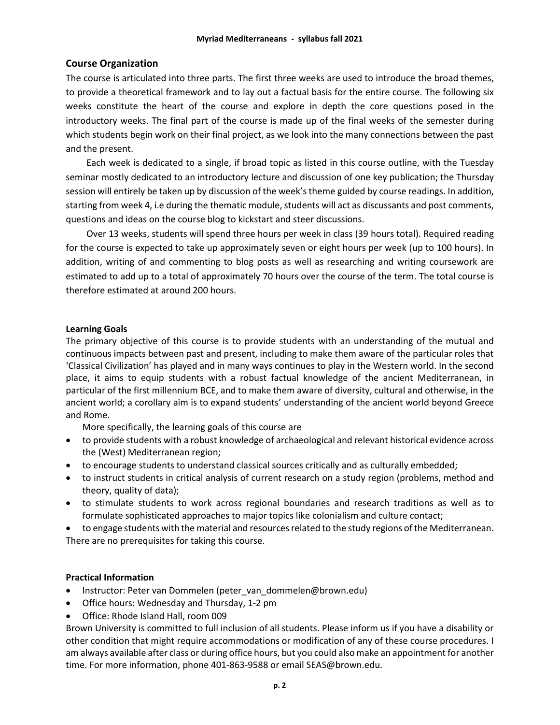## **Course Organization**

The course is articulated into three parts. The first three weeks are used to introduce the broad themes, to provide a theoretical framework and to lay out a factual basis for the entire course. The following six weeks constitute the heart of the course and explore in depth the core questions posed in the introductory weeks. The final part of the course is made up of the final weeks of the semester during which students begin work on their final project, as we look into the many connections between the past and the present.

Each week is dedicated to a single, if broad topic as listed in this course outline, with the Tuesday seminar mostly dedicated to an introductory lecture and discussion of one key publication; the Thursday session will entirely be taken up by discussion of the week's theme guided by course readings. In addition, starting from week 4, i.e during the thematic module, students will act as discussants and post comments, questions and ideas on the course blog to kickstart and steer discussions.

Over 13 weeks, students will spend three hours per week in class (39 hours total). Required reading for the course is expected to take up approximately seven or eight hours per week (up to 100 hours). In addition, writing of and commenting to blog posts as well as researching and writing coursework are estimated to add up to a total of approximately 70 hours over the course of the term. The total course is therefore estimated at around 200 hours.

#### **Learning Goals**

The primary objective of this course is to provide students with an understanding of the mutual and continuous impacts between past and present, including to make them aware of the particular roles that 'Classical Civilization' has played and in many ways continues to play in the Western world. In the second place, it aims to equip students with a robust factual knowledge of the ancient Mediterranean, in particular of the first millennium BCE, and to make them aware of diversity, cultural and otherwise, in the ancient world; a corollary aim is to expand students' understanding of the ancient world beyond Greece and Rome.

More specifically, the learning goals of this course are

- to provide students with a robust knowledge of archaeological and relevant historical evidence across the (West) Mediterranean region;
- to encourage students to understand classical sources critically and as culturally embedded;
- to instruct students in critical analysis of current research on a study region (problems, method and theory, quality of data);
- to stimulate students to work across regional boundaries and research traditions as well as to formulate sophisticated approaches to major topics like colonialism and culture contact;

• to engage students with the material and resources related to the study regions of the Mediterranean. There are no prerequisites for taking this course.

## **Practical Information**

- Instructor: Peter van Dommelen (peter van dommelen@brown.edu)
- Office hours: Wednesday and Thursday, 1-2 pm
- Office: Rhode Island Hall, room 009

Brown University is committed to full inclusion of all students. Please inform us if you have a disability or other condition that might require accommodations or modification of any of these course procedures. I am always available after class or during office hours, but you could also make an appointment for another time. For more information, phone 401-863-9588 or email SEAS@brown.edu.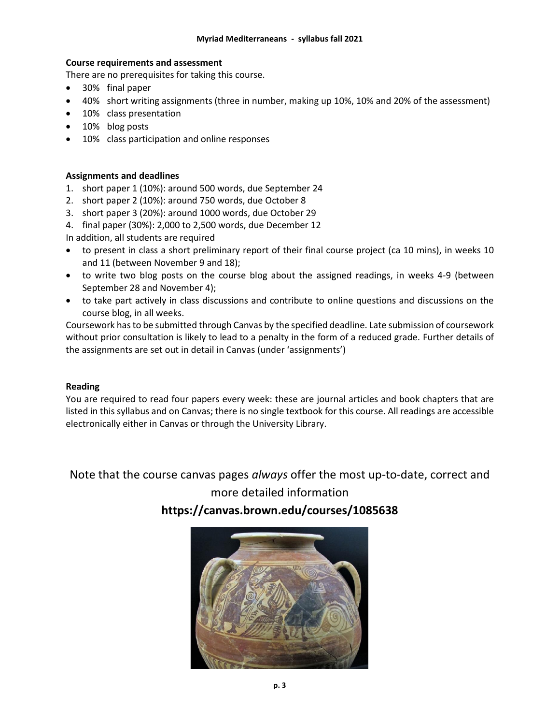## **Course requirements and assessment**

There are no prerequisites for taking this course.

- 30% final paper
- 40% short writing assignments (three in number, making up 10%, 10% and 20% of the assessment)
- 10% class presentation
- 10% blog posts
- 10% class participation and online responses

## **Assignments and deadlines**

- 1. short paper 1 (10%): around 500 words, due September 24
- 2. short paper 2 (10%): around 750 words, due October 8
- 3. short paper 3 (20%): around 1000 words, due October 29
- 4. final paper (30%): 2,000 to 2,500 words, due December 12

In addition, all students are required

- to present in class a short preliminary report of their final course project (ca 10 mins), in weeks 10 and 11 (between November 9 and 18);
- to write two blog posts on the course blog about the assigned readings, in weeks 4-9 (between September 28 and November 4);
- to take part actively in class discussions and contribute to online questions and discussions on the course blog, in all weeks.

Coursework has to be submitted through Canvas by the specified deadline. Late submission of coursework without prior consultation is likely to lead to a penalty in the form of a reduced grade. Further details of the assignments are set out in detail in Canvas (under 'assignments')

#### **Reading**

You are required to read four papers every week: these are journal articles and book chapters that are listed in this syllabus and on Canvas; there is no single textbook for this course. All readings are accessible electronically either in Canvas or through the University Library.

Note that the course canvas pages *always* offer the most up-to-date, correct and

## more detailed information

**https://canvas.brown.edu/courses/1085638**

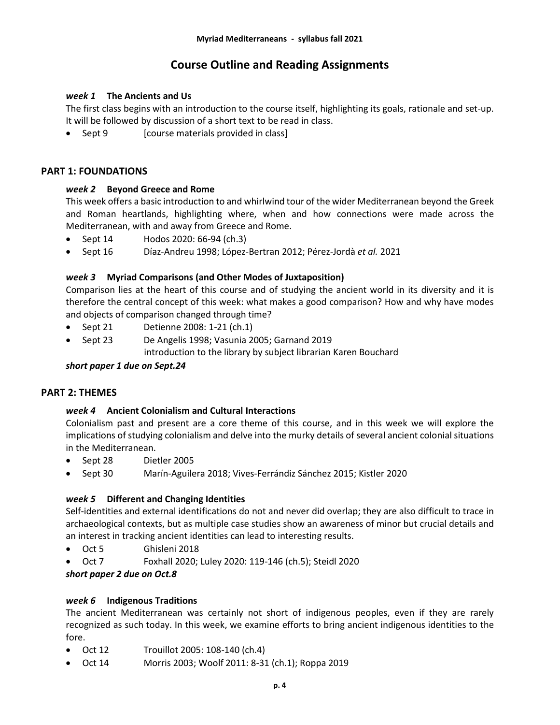## **Course Outline and Reading Assignments**

## *week 1* **The Ancients and Us**

The first class begins with an introduction to the course itself, highlighting its goals, rationale and set-up. It will be followed by discussion of a short text to be read in class.

• Sept 9 [course materials provided in class]

## **PART 1: FOUNDATIONS**

## *week 2* **Beyond Greece and Rome**

This week offers a basic introduction to and whirlwind tour of the wider Mediterranean beyond the Greek and Roman heartlands, highlighting where, when and how connections were made across the Mediterranean, with and away from Greece and Rome.

- Sept 14 Hodos 2020: 66-94 (ch.3)
- Sept 16 Díaz-Andreu 1998; López-Bertran 2012; Pérez-Jordà *et al.* 2021

## *week 3* **Myriad Comparisons (and Other Modes of Juxtaposition)**

Comparison lies at the heart of this course and of studying the ancient world in its diversity and it is therefore the central concept of this week: what makes a good comparison? How and why have modes and objects of comparison changed through time?

- Sept 21 Detienne 2008: 1-21 (ch.1)
- Sept 23 De Angelis 1998; Vasunia 2005; Garnand 2019 introduction to the library by subject librarian Karen Bouchard

## *short paper 1 due on Sept.24*

## **PART 2: THEMES**

#### *week 4* **Ancient Colonialism and Cultural Interactions**

Colonialism past and present are a core theme of this course, and in this week we will explore the implications of studying colonialism and delve into the murky details of several ancient colonial situations in the Mediterranean.

- Sept 28 Dietler 2005
- Sept 30 Marín-Aguilera 2018; Vives-Ferrándiz Sánchez 2015; Kistler 2020

#### *week 5* **Different and Changing Identities**

Self-identities and external identifications do not and never did overlap; they are also difficult to trace in archaeological contexts, but as multiple case studies show an awareness of minor but crucial details and an interest in tracking ancient identities can lead to interesting results.

- Oct 5 Ghisleni 2018
- Oct 7 Foxhall 2020; Luley 2020: 119-146 (ch.5); Steidl 2020
- *short paper 2 due on Oct.8*

#### *week 6* **Indigenous Traditions**

The ancient Mediterranean was certainly not short of indigenous peoples, even if they are rarely recognized as such today. In this week, we examine efforts to bring ancient indigenous identities to the fore.

- Oct 12 Trouillot 2005: 108-140 (ch.4)
- Oct 14 Morris 2003; Woolf 2011: 8-31 (ch.1); Roppa 2019